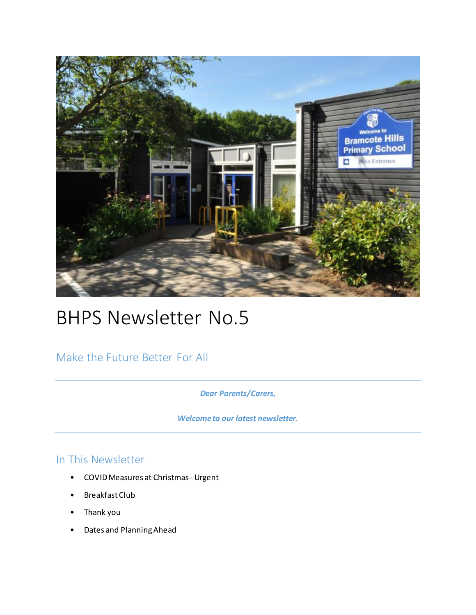

# BHPS Newsletter No.5

Make the Future Better For All

*Dear Parents/Carers,* 

*Welcome to our latest newsletter.* 

### In This Newsletter

- COVID Measures at Christmas Urgent
- Breakfast Club
- Thank you
- Dates and Planning Ahead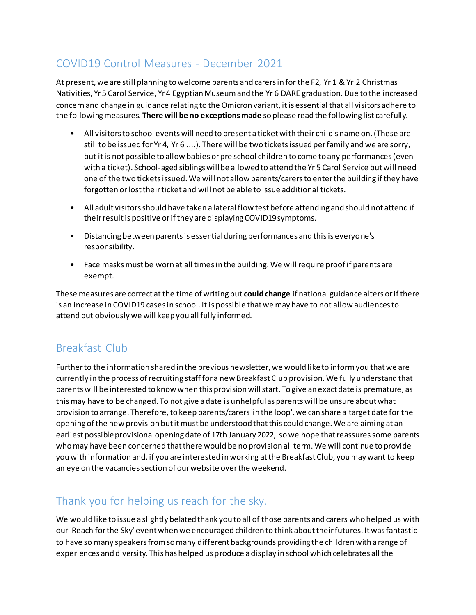# COVID19 Control Measures - December 2021

At present, we are still planning to welcome parents and carers in for the F2, Yr 1 & Yr 2 Christmas Nativities, Yr 5 Carol Service, Yr 4 Egyptian Museum and the Yr 6 DARE graduation. Due to the increased concern and change in guidance relating to the Omicron variant, it is essential that all visitors adhere to the following measures. **There will be no exceptions made** so please read the following list carefully.

- All visitors to school events will need to present a ticket with their child's name on. (These are still to be issued for Yr 4, Yr 6 ....). There will be two tickets issued per family and we are sorry, but it is not possible to allow babies or pre school children to come to any performances (even with a ticket). School-aged siblings will be allowed to attend the Yr 5 Carol Service but will need one of the two tickets issued. We will not allow parents/carers to enter the building if they have forgotten or lost their ticket and will not be able to issue additional tickets.
- All adult visitors should have taken a lateral flow test before attending and should not attend if their result is positive or if they are displaying COVID19 symptoms.
- Distancing between parents is essential during performances and this is everyone's responsibility.
- Face masks must be worn at all times in the building. We will require proof if parents are exempt.

These measures are correct at the time of writing but **could change** if national guidance alters or if there is an increase in COVID19 cases in school. It is possible that we may have to not allow audiences to attend but obviously we will keep you all fully informed.

# Breakfast Club

Further to the information shared in the previous newsletter, we would like to inform you that we are currently in the process of recruiting staff for a new Breakfast Club provision. We fully understand that parents will be interested to know when this provision will start. To give an exact date is premature, as this may have to be changed. To not give a date is unhelpful as parents will be unsure about what provision to arrange. Therefore, to keep parents/carers 'in the loop', we can share a target date for the opening of the new provision but it must be understood that this could change. We are aiming at an earliest possible provisional opening date of 17th January 2022, so we hope that reassures some parents who may have been concerned that there would be no provision all term. We will continue to provide you with information and, if you are interested in working at the Breakfast Club, you may want to keep an eye on the vacancies section of our website over the weekend.

# Thank you for helping us reach for the sky.

We would like to issue a slightly belated thank you to all of those parents and carers who helped us with our 'Reach for the Sky' event when we encouraged children to think about their futures. It was fantastic to have so many speakers from so many different backgrounds providing the children with a range of experiences and diversity. This has helped us produce a display in school which celebrates all the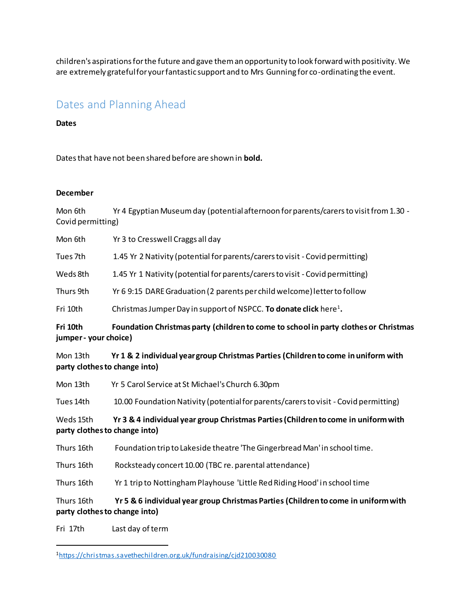children's aspirations for the future and gave them an opportunity to look forward with positivity. We are extremely grateful for your fantastic support and to Mrs Gunning for co-ordinating the event.

### Dates and Planning Ahead

#### **Dates**

Dates that have not been shared before are shown in **bold.**

#### **December**

Mon 6th Yr 4 Egyptian Museum day (potential afternoon for parents/carers to visit from 1.30 -Covid permitting)

Mon 6th Yr 3 to Cresswell Craggs all day

Tues 7th 1.45 Yr 2 Nativity (potential for parents/carers to visit - Covid permitting)

Weds 8th 1.45 Yr 1 Nativity (potential for parents/carers to visit - Covid permitting)

Thurs 9th Yr 6 9:15 DARE Graduation (2 parents per child welcome) letter to follow

Fri 10th Christmas Jumper Day in support of NSPCC. **To donate click** here<sup>1</sup>.

**Fri 10th Foundation Christmas party (children to come to school in party clothes or Christmas jumper - your choice)** 

Mon 13th **Yr 1 & 2 individual year group Christmas Parties (Children to come in uniform with party clothes to change into)** 

Mon 13th Yr 5 Carol Service at St Michael's Church 6.30pm

Tues 14th 10.00 Foundation Nativity (potential for parents/carers to visit - Covid permitting)

Weds 15th **Yr 3 & 4 individual year group Christmas Parties (Children to come in uniform with party clothes to change into)** 

Thurs 16th Foundation trip to Lakeside theatre 'The Gingerbread Man' in school time.

Thurs 16th Rocksteady concert 10.00 (TBC re. parental attendance)

Thurs 16th Yr 1 trip to Nottingham Playhouse 'Little Red Riding Hood' in school time

Thurs 16th **Yr 5 & 6 individual year group Christmas Parties (Children to come in uniform with party clothes to change into)** 

Fri 17th Last day of term

 $\overline{a}$ 

<sup>1</sup><https://christmas.savethechildren.org.uk/fundraising/cjd210030080>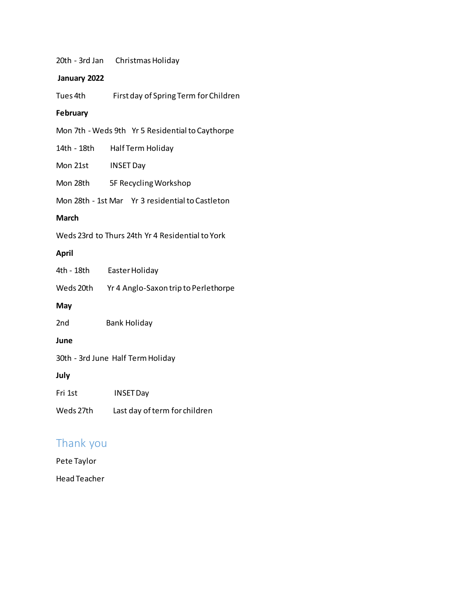20th - 3rd Jan Christmas Holiday

#### **January 2022**

Tues 4th First day of Spring Term for Children

#### **February**

Mon 7th - Weds 9th Yr 5 Residential to Caythorpe

14th - 18th Half Term Holiday

Mon 21st INSET Day

Mon 28th 5F Recycling Workshop

Mon 28th - 1st Mar Yr 3 residential to Castleton

#### **March**

Weds 23rd to Thurs 24th Yr 4 Residential to York

#### **April**

| 4th - 18th                        | Easter Holiday                       |
|-----------------------------------|--------------------------------------|
| Weds 20th                         | Yr 4 Anglo-Saxon trip to Perlethorpe |
| May                               |                                      |
| 2 <sub>nd</sub>                   | <b>Bank Holiday</b>                  |
| June                              |                                      |
| 30th - 3rd June Half Term Holiday |                                      |
| July                              |                                      |
| Fri 1st                           | <b>INSET Day</b>                     |
| Weds 27th                         | Last day of term for children        |

### Thank you

Pete Taylor

Head Teacher